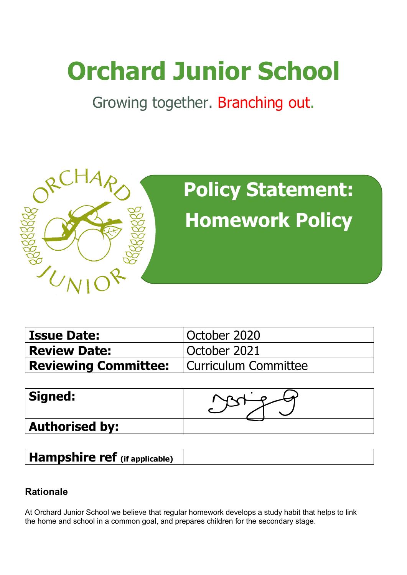# **Orchard Junior School**

Growing together. Branching out.



| <b>Issue Date:</b>                                 | October 2020 |  |
|----------------------------------------------------|--------------|--|
| <b>Review Date:</b>                                | October 2021 |  |
| <b>Reviewing Committee:</b>   Curriculum Committee |              |  |

| Signed:               |  |
|-----------------------|--|
| <b>Authorised by:</b> |  |

**Hampshire ref (if applicable)**

## **Rationale**

At Orchard Junior School we believe that regular homework develops a study habit that helps to link the home and school in a common goal, and prepares children for the secondary stage.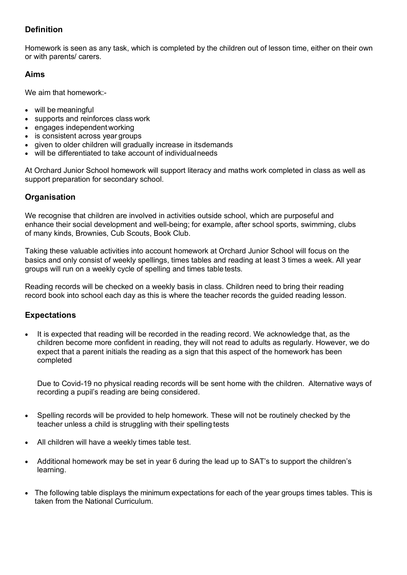### **Definition**

Homework is seen as any task, which is completed by the children out of lesson time, either on their own or with parents/ carers.

#### **Aims**

We aim that homework:-

- will be meaningful
- supports and reinforces class work
- engages independent working
- is consistent across year groups
- given to older children will gradually increase in itsdemands
- will be differentiated to take account of individualneeds

At Orchard Junior School homework will support literacy and maths work completed in class as well as support preparation for secondary school.

#### **Organisation**

We recognise that children are involved in activities outside school, which are purposeful and enhance their social development and well-being; for example, after school sports, swimming, clubs of many kinds, Brownies, Cub Scouts, Book Club.

Taking these valuable activities into account homework at Orchard Junior School will focus on the basics and only consist of weekly spellings, times tables and reading at least 3 times a week. All year groups will run on a weekly cycle of spelling and times table tests.

Reading records will be checked on a weekly basis in class. Children need to bring their reading record book into school each day as this is where the teacher records the guided reading lesson.

#### **Expectations**

• It is expected that reading will be recorded in the reading record. We acknowledge that, as the children become more confident in reading, they will not read to adults as regularly. However, we do expect that a parent initials the reading as a sign that this aspect of the homework has been completed

Due to Covid-19 no physical reading records will be sent home with the children. Alternative ways of recording a pupil's reading are being considered.

- Spelling records will be provided to help homework. These will not be routinely checked by the teacher unless a child is struggling with their spelling tests
- All children will have a weekly times table test.
- Additional homework may be set in year 6 during the lead up to SAT's to support the children's learning.
- The following table displays the minimum expectations for each of the year groups times tables. This is taken from the National Curriculum.